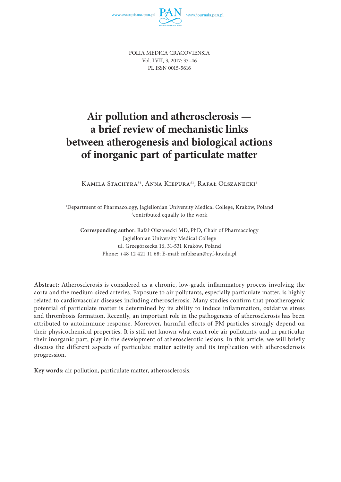

FOLIA MEDICA CRACOVIENSIA Vol. LVII, 3, 2017: 37–46 PL ISSN 0015-5616

# **Air pollution and atherosclerosis a brief review of mechanistic links between atherogenesis and biological actions of inorganic part of particulate matter**

KAMILA STACHYRA<sup>#1</sup>, ANNA KIEPURA<sup>#1</sup>, RAFAŁ OLSZANECKI<sup>1</sup>

1 Department of Pharmacology, Jagiellonian University Medical College, Kraków, Poland # contributed equally to the work

**Corresponding author:** Rafał Olszanecki MD, PhD, Chair of Pharmacology Jagiellonian University Medical College ul. Grzegórzecka 16, 31-531 Kraków, Poland Phone: +48 12 421 11 68; E-mail: mfolszan@cyf-kr.edu.pl

**Abstract:** Atherosclerosis is considered as a chronic, low-grade inflammatory process involving the aorta and the medium-sized arteries. Exposure to air pollutants, especially particulate matter, is highly related to cardiovascular diseases including atherosclerosis. Many studies confirm that proatherogenic potential of particulate matter is determined by its ability to induce inflammation, oxidative stress and thrombosis formation. Recently, an important role in the pathogenesis of atherosclerosis has been attributed to autoimmune response. Moreover, harmful effects of PM particles strongly depend on their physicochemical properties. It is still not known what exact role air pollutants, and in particular their inorganic part, play in the development of atherosclerotic lesions. In this article, we will briefly discuss the different aspects of particulate matter activity and its implication with atherosclerosis progression.

**Key words:** air pollution, particulate matter, atherosclerosis.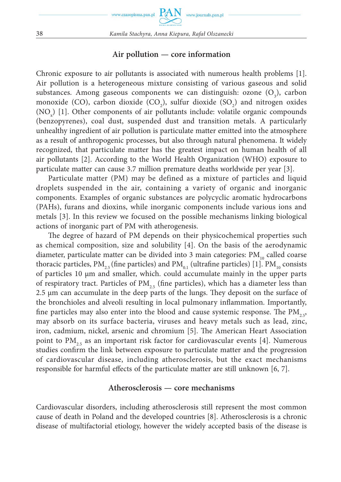### **Air pollution — core information**

Chronic exposure to air pollutants is associated with numerous health problems [1]. Air pollution is a heterogeneous mixture consisting of various gaseous and solid substances. Among gaseous components we can distinguish: ozone  $(O_3)$ , carbon monoxide (CO), carbon dioxide (CO<sub>2</sub>), sulfur dioxide (SO<sub>2</sub>) and nitrogen oxides  $(NO<sub>x</sub>)$  [1]. Other components of air pollutants include: volatile organic compounds (benzopyrenes), coal dust, suspended dust and transition metals. A particularly unhealthy ingredient of air pollution is particulate matter emitted into the atmosphere as a result of anthropogenic processes, but also through natural phenomena. It widely recognized, that particulate matter has the greatest impact on human health of all air pollutants [2]. According to the World Health Organization (WHO) exposure to particulate matter can cause 3.7 million premature deaths worldwide per year [3].

Particulate matter (PM) may be defined as a mixture of particles and liquid droplets suspended in the air, containing a variety of organic and inorganic components. Examples of organic substances are polycyclic aromatic hydrocarbons (PAHs), furans and dioxins, while inorganic components include various ions and metals [3]. In this review we focused on the possible mechanisms linking biological actions of inorganic part of PM with atherogenesis.

The degree of hazard of PM depends on their physicochemical properties such as chemical composition, size and solubility [4]. On the basis of the aerodynamic diameter, particulate matter can be divided into 3 main categories:  $PM_{10}$  called coarse thoracic particles, PM<sub>25</sub> (fine particles) and PM<sub>01</sub> (ultrafine particles) [1]. PM<sub>10</sub> consists of particles 10 µm and smaller, which. could accumulate mainly in the upper parts of respiratory tract. Particles of  $PM_{25}$  (fine particles), which has a diameter less than 2.5 µm can accumulate in the deep parts of the lungs. They deposit on the surface of the bronchioles and alveoli resulting in local pulmonary inflammation. Importantly, fine particles may also enter into the blood and cause systemic response. The  $PM_{2,5}$ , may absorb on its surface bacteria, viruses and heavy metals such as lead, zinc, iron, cadmium, nickel, arsenic and chromium [5]. The American Heart Association point to  $PM_{25}$  as an important risk factor for cardiovascular events [4]. Numerous studies confirm the link between exposure to particulate matter and the progression of cardiovascular disease, including atherosclerosis, but the exact mechanisms responsible for harmful effects of the particulate matter are still unknown [6, 7].

# **Atherosclerosis — core mechanisms**

Cardiovascular disorders, including atherosclerosis still represent the most common cause of death in Poland and the developed countries [8]. Atherosclerosis is a chronic disease of multifactorial etiology, however the widely accepted basis of the disease is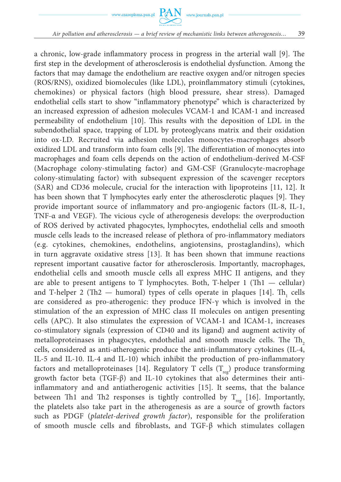a chronic, low-grade inflammatory process in progress in the arterial wall [9]. The first step in the development of atherosclerosis is endothelial dysfunction. Among the factors that may damage the endothelium are reactive oxygen and/or nitrogen species (ROS/RNS), oxidized biomolecules (like LDL), proinflammatory stimuli (cytokines, chemokines) or physical factors (high blood pressure, shear stress). Damaged endothelial cells start to show "inflammatory phenotype" which is characterized by an increased expression of adhesion molecules VCAM-1 and ICAM-1 and increased permeability of endothelium [10]. This results with the deposition of LDL in the subendothelial space, trapping of LDL by proteoglycans matrix and their oxidation into ox-LD. Recruited via adhesion molecules monocytes-macrophages absorb oxidized LDL and transform into foam cells [9]. The differentiation of monocytes into macrophages and foam cells depends on the action of endothelium-derived M-CSF (Macrophage colony-stimulating factor) and GM-CSF (Granulocyte-macrophage colony-stimulating factor) with subsequent expression of the scavenger receptors (SAR) and CD36 molecule, crucial for the interaction with lipoproteins [11, 12]. It has been shown that T lymphocytes early enter the atherosclerotic plaques [9]. They provide important source of inflammatory and pro-angiogenic factors (IL-8, IL-1, TNF-α and VEGF). The vicious cycle of atherogenesis develops: the overproduction of ROS derived by activated phagocytes, lymphocytes, endothelial cells and smooth muscle cells leads to the increased release of plethora of pro-inflammatory mediators (e.g. cytokines, chemokines, endothelins, angiotensins, prostaglandins), which in turn aggravate oxidative stress [13]. It has been shown that immune reactions represent important causative factor for atherosclerosis. Importantly, macrophages, endothelial cells and smooth muscle cells all express MHC II antigens, and they are able to present antigens to T lymphocytes. Both, T-helper  $1$  (Th $1 -$  cellular) and T-helper 2 (Th2  $-$  humoral) types of cells operate in plaques [14]. Th<sub>1</sub> cells are considered as pro-atherogenic: they produce IFN- $\gamma$  which is involved in the stimulation of the an expression of MHC class II molecules on antigen presenting cells (APC). It also stimulates the expression of VCAM-1 and ICAM-1, increases co-stimulatory signals (expression of CD40 and its ligand) and augment activity of metalloproteinases in phagocytes, endothelial and smooth muscle cells. The  $Th<sub>2</sub>$ cells, considered as anti-atherogenic produce the anti-inflammatory cytokines (IL-4, IL-5 and IL-10. IL-4 and IL-10) which inhibit the production of pro-inflammatory factors and metalloproteinases [14]. Regulatory T cells  $(T_{\text{rec}})$  produce transforming growth factor beta (TGF-β) and IL-10 cytokines that also determines their antiinflammatory and and antiatherogenic activities [15]. It seems, that the balance between Th1 and Th2 responses is tightly controlled by  $T_{reg}$  [16]. Importantly, the platelets also take part in the atherogenesis as are a source of growth factors such as PDGF (*platelet-derived growth factor*), responsible for the proliferation of smooth muscle cells and fibroblasts, and TGF-β which stimulates collagen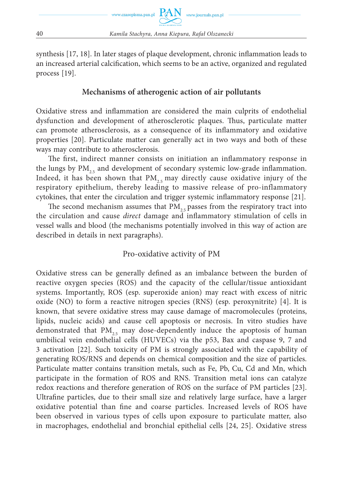

synthesis [17, 18]. In later stages of plaque development, chronic inflammation leads to an increased arterial calcification, which seems to be an active, organized and regulated process [19].

# **Mechanisms of atherogenic action of air pollutants**

Oxidative stress and inflammation are considered the main culprits of endothelial dysfunction and development of atherosclerotic plaques. Thus, particulate matter can promote atherosclerosis, as a consequence of its inflammatory and oxidative properties [20]. Particulate matter can generally act in two ways and both of these ways may contribute to atherosclerosis.

The first, indirect manner consists on initiation an inflammatory response in the lungs by  $PM_{25}$  and development of secondary systemic low-grade inflammation. Indeed, it has been shown that  $PM_{2.5}$  may directly cause oxidative injury of the respiratory epithelium, thereby leading to massive release of pro-inflammatory cytokines, that enter the circulation and trigger systemic inflammatory response [21].

The second mechanism assumes that  $PM_{2.5}$  passes from the respiratory tract into the circulation and cause *direct* damage and inflammatory stimulation of cells in vessel walls and blood (the mechanisms potentially involved in this way of action are described in details in next paragraphs).

# Pro-oxidative activity of PM

Oxidative stress can be generally defined as an imbalance between the burden of reactive oxygen species (ROS) and the capacity of the cellular/tissue antioxidant systems. Importantly, ROS (esp. superoxide anion) may react with excess of nitric oxide (NO) to form a reactive nitrogen species (RNS) (esp. peroxynitrite) [4]. It is known, that severe oxidative stress may cause damage of macromolecules (proteins, lipids, nucleic acids) and cause cell apoptosis or necrosis. In vitro studies have demonstrated that  $PM_{25}$  may dose-dependently induce the apoptosis of human umbilical vein endothelial cells (HUVECs) via the p53, Bax and caspase 9, 7 and 3 activation [22]. Such toxicity of PM is strongly associated with the capability of generating ROS/RNS and depends on chemical composition and the size of particles. Particulate matter contains transition metals, such as Fe, Pb, Cu, Cd and Mn, which participate in the formation of ROS and RNS. Transition metal ions can catalyze redox reactions and therefore generation of ROS on the surface of PM particles [23]. Ultrafine particles, due to their small size and relatively large surface, have a larger oxidative potential than fine and coarse particles. Increased levels of ROS have been observed in various types of cells upon exposure to particulate matter, also in macrophages, endothelial and bronchial epithelial cells [24, 25]. Oxidative stress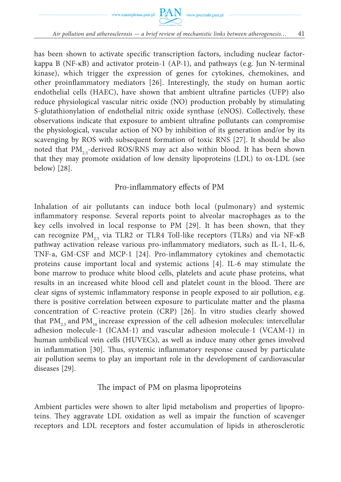



has been shown to activate specific transcription factors, including nuclear factorkappa B (NF-κB) and activator protein-1 (AP-1), and pathways (e.g. Jun N-terminal kinase), which trigger the expression of genes for cytokines, chemokines, and other proinflammatory mediators [26]. Interestingly, the study on human aortic endothelial cells (HAEC), have shown that ambient ultrafine particles (UFP) also reduce physiological vascular nitric oxide (NO) production probably by stimulating S-glutathionylation of endothelial nitric oxide synthase (eNOS). Collectively, these observations indicate that exposure to ambient ultrafine pollutants can compromise the physiological, vascular action of NO by inhibition of its generation and/or by its scavenging by ROS with subsequent formation of toxic RNS [27]. It should be also noted that  $PM_{25}$ -derived ROS/RNS may act also within blood. It has been shown that they may promote oxidation of low density lipoproteins (LDL) to ox-LDL (see below) [28].

# Pro-inflammatory effects of PM

Inhalation of air pollutants can induce both local (pulmonary) and systemic inflammatory response. Several reports point to alveolar macrophages as to the key cells involved in local response to PM [29]. It has been shown, that they can recognize  $PM_{25}$  via TLR2 or TLR4 Toll-like receptors (TLRs) and via NF- $\kappa$ B pathway activation release various pro-inflammatory mediators, such as IL-1, IL-6, TNF-a, GM-CSF and MCP-1 [24]. Pro-inflammatory cytokines and chemotactic proteins cause important local and systemic actions [4]. IL-6 may stimulate the bone marrow to produce white blood cells, platelets and acute phase proteins, what results in an increased white blood cell and platelet count in the blood. There are clear signs of systemic inflammatory response in people exposed to air pollution, e.g. there is positive correlation between exposure to particulate matter and the plasma concentration of C-reactive protein (CRP) [26]. In vitro studies clearly showed that PM<sub>25</sub> and PM<sub>10</sub> increase expression of the cell adhesion molecules: intercellular adhesion molecule-1 (ICAM-1) and vascular adhesion molecule-1 (VCAM-1) in human umbilical vein cells (HUVECs), as well as induce many other genes involved in inflammation [30]. Thus, systemic inflammatory response caused by particulate air pollution seems to play an important role in the development of cardiovascular diseases [29].

#### The impact of PM on plasma lipoproteins

Ambient particles were shown to alter lipid metabolism and properties of lipoproteins. They aggravate LDL oxidation as well as impair the function of scavenger receptors and LDL receptors and foster accumulation of lipids in atherosclerotic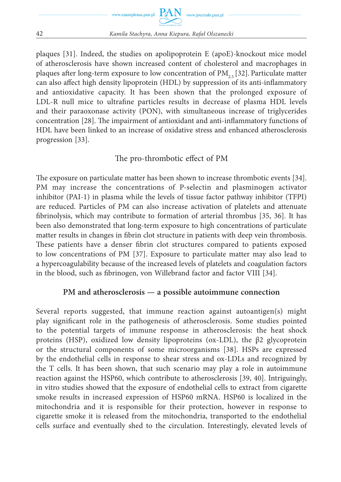

plaques [31]. Indeed, the studies on apolipoprotein E (apoE)-knockout mice model of atherosclerosis have shown increased content of cholesterol and macrophages in plaques after long-term exposure to low concentration of  $PM_{2.5}$  [32]. Particulate matter can also affect high density lipoprotein (HDL) by suppression of its anti-inflammatory and antioxidative capacity. It has been shown that the prolonged exposure of LDL-R null mice to ultrafine particles results in decrease of plasma HDL levels and their paraoxonase activity (PON), with simultaneous increase of triglycerides concentration [28]. The impairment of antioxidant and anti-inflammatory functions of HDL have been linked to an increase of oxidative stress and enhanced atherosclerosis progression [33].

# The pro-thrombotic effect of PM

The exposure on particulate matter has been shown to increase thrombotic events [34]. PM may increase the concentrations of P-selectin and plasminogen activator inhibitor (PAI-1) in plasma while the levels of tissue factor pathway inhibitor (TFPI) are reduced. Particles of PM can also increase activation of platelets and attenuate fibrinolysis, which may contribute to formation of arterial thrombus [35, 36]. It has been also demonstrated that long-term exposure to high concentrations of particulate matter results in changes in fibrin clot structure in patients with deep vein thrombosis. These patients have a denser fibrin clot structures compared to patients exposed to low concentrations of PM [37]. Exposure to particulate matter may also lead to a hypercoagulability because of the increased levels of platelets and coagulation factors in the blood, such as fibrinogen, von Willebrand factor and factor VIII [34].

# **PM and atherosclerosis — a possible autoimmune connection**

Several reports suggested, that immune reaction against autoantigen(s) might play significant role in the pathogenesis of atherosclerosis. Some studies pointed to the potential targets of immune response in atherosclerosis: the heat shock proteins (HSP), oxidized low density lipoproteins (ox-LDL), the  $\beta$ 2 glycoprotein or the structural components of some microorganisms [38]. HSPs are expressed by the endothelial cells in response to shear stress and ox-LDLs and recognized by the T cells. It has been shown, that such scenario may play a role in autoimmune reaction against the HSP60, which contribute to atherosclerosis [39, 40]. Intriguingly, in vitro studies showed that the exposure of endothelial cells to extract from cigarette smoke results in increased expression of HSP60 mRNA. HSP60 is localized in the mitochondria and it is responsible for their protection, however in response to cigarette smoke it is released from the mitochondria, transported to the endothelial cells surface and eventually shed to the circulation. Interestingly, elevated levels of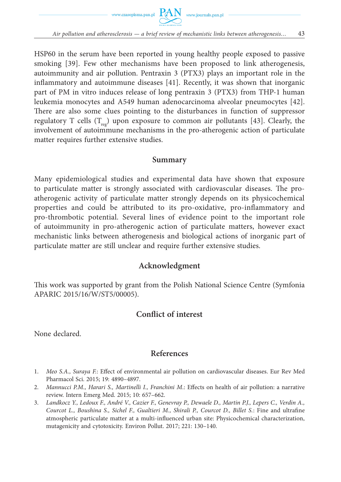



HSP60 in the serum have been reported in young healthy people exposed to passive smoking [39]. Few other mechanisms have been proposed to link atherogenesis, autoimmunity and air pollution. Pentraxin 3 (PTX3) plays an important role in the inflammatory and autoimmune diseases [41]. Recently, it was shown that inorganic part of PM in vitro induces release of long pentraxin 3 (PTX3) from THP-1 human leukemia monocytes and A549 human adenocarcinoma alveolar pneumocytes [42]. There are also some clues pointing to the disturbances in function of suppressor regulatory T cells  $(T_{\text{max}})$  upon exposure to common air pollutants [43]. Clearly, the involvement of autoimmune mechanisms in the pro-atherogenic action of particulate matter requires further extensive studies.

#### **Summary**

Many epidemiological studies and experimental data have shown that exposure to particulate matter is strongly associated with cardiovascular diseases. The proatherogenic activity of particulate matter strongly depends on its physicochemical properties and could be attributed to its pro-oxidative, pro-inflammatory and pro-thrombotic potential. Several lines of evidence point to the important role of autoimmunity in pro-atherogenic action of particulate matters, however exact mechanistic links between atherogenesis and biological actions of inorganic part of particulate matter are still unclear and require further extensive studies.

# **Acknowledgment**

This work was supported by grant from the Polish National Science Centre (Symfonia APARIC 2015/16/W/ST5/00005).

# **Conflict of interest**

None declared.

#### **References**

- 1. *Meo S.A., Suraya F.*: Effect of environmental air pollution on cardiovascular diseases. Eur Rev Med Pharmacol Sci. 2015; 19: 4890–4897.
- 2. *Mannucci P.M., Harari S., Martinelli I., Franchini M*.: Effects on health of air pollution: a narrative review. Intern Emerg Med. 2015; 10: 657–662.
- 3. *Landkocz Y., Ledoux F., André V., Cazier F., Genevray P., Dewaele D., Martin P.J., Lepers C., Verdin A., Courcot L., Boushina S., Sichel F., Gualtieri M., Shirali P., Courcot D., Billet S.*: Fine and ultrafine atmospheric particulate matter at a multi-influenced urban site: Physicochemical characterization, mutagenicity and cytotoxicity. Environ Pollut. 2017; 221: 130–140.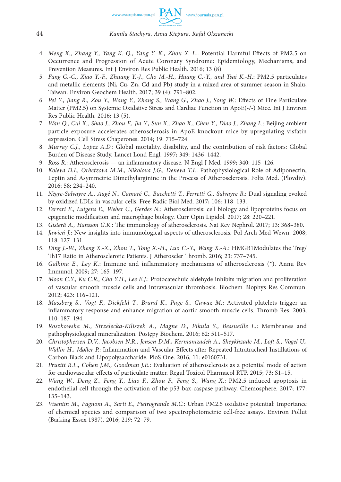- 4. *Meng X., Zhang Y., Yang K.-Q., Yang Y.-K., Zhou X.-L.*: Potential Harmful Effects of PM2.5 on Occurrence and Progression of Acute Coronary Syndrome: Epidemiology, Mechanisms, and Prevention Measures. Int J Environ Res Public Health. 2016; 13 (8).
- 5. *Fang G.-C., Xiao Y.-F., Zhuang Y.-J., Cho M.-H., Huang C.-Y., and Tsai K.-H.*: PM2.5 particulates and metallic elements (Ni, Cu, Zn, Cd and Pb) study in a mixed area of summer season in Shalu, Taiwan. Environ Geochem Health. 2017; 39 (4): 791–802.
- 6. *Pei Y., Jiang R., Zou Y., Wang Y., Zhang S., Wang G., Zhao J., Song W.*: Effects of Fine Particulate Matter (PM2.5) on Systemic Oxidative Stress and Cardiac Function in ApoE(-/-) Mice. Int J Environ Res Public Health. 2016; 13 (5).
- 7. *Wan Q., Cui X., Shao J., Zhou F., Jia Y., Sun X., Zhao X., Chen Y., Diao J., Zhang L.*: Beijing ambient particle exposure accelerates atherosclerosis in ApoE knockout mice by upregulating visfatin expression. Cell Stress Chaperones. 2014; 19: 715–724.
- 8. *Murray C.J., Lopez A.D.*: Global mortality, disability, and the contribution of risk factors: Global Burden of Disease Study. Lancet Lond Engl. 1997; 349: 1436–1442.
- 9. *Ross R.*: Atherosclerosisan inflammatory disease. N Engl J Med. 1999; 340: 115–126.
- 10. *Koleva D.I., Orbetzova M.M., Nikolova J.G., Deneva T.I.*: Pathophysiological Role of Adiponectin, Leptin and Asymmetric Dimethylarginine in the Process of Atherosclerosis. Folia Med. (Plovdiv). 2016; 58: 234–240.
- 11. *Nègre-Salvayre A., Augé N., Camaré C., Bacchetti T., Ferretti G., Salvayre R.*: Dual signaling evoked by oxidized LDLs in vascular cells. Free Radic Biol Med. 2017; 106: 118–133.
- 12. *Ferrari E., Lutgens E., Weber C., Gerdes N.*: Atherosclerosis: cell biology and lipoproteins focus on epigenetic modification and macrophage biology. Curr Opin Lipidol. 2017; 28: 220–221.
- 13. *Gisterå A., Hansson G.K.*: The immunology of atherosclerosis. Nat Rev Nephrol. 2017; 13: 368–380.
- 14. *Jawień J.*: New insights into immunological aspects of atherosclerosis. Pol Arch Med Wewn. 2008; 118: 127–131.
- 15. *Ding J.-W., Zheng X.-X., Zhou T., Tong X.-H., Luo C.-Y., Wang X.-A.*: HMGB1Modulates the Treg/ Th17 Ratio in Atherosclerotic Patients. J Atheroscler Thromb. 2016; 23: 737–745.
- 16. *Galkina E., Ley K.*: Immune and inflammatory mechanisms of atherosclerosis (\*). Annu Rev Immunol. 2009; 27: 165–197.
- 17. *Moon C.Y., Ku C.R., Cho Y.H., Lee E.J.*: Protocatechuic aldehyde inhibits migration and proliferation of vascular smooth muscle cells and intravascular thrombosis. Biochem Biophys Res Commun. 2012; 423: 116–121.
- 18. *Massberg S., Vogt F., Dickfeld T., Brand K., Page S., Gawaz M.*: Activated platelets trigger an inflammatory response and enhance migration of aortic smooth muscle cells. Thromb Res. 2003; 110: 187–194.
- 19. *Roszkowska M., Strzelecka-Kiliszek A., Magne D., Pikula S., Bessueille L.*: Membranes and pathophysiological mineralization. Postępy Biochem. 2016; 62: 511–517.
- 20. *Christophersen D.V., Jacobsen N.R., Jensen D.M., Kermanizadeh A., Sheykhzade M., Loft S., Vogel U., Wallin H., Møller P.*: Inflammation and Vascular Effects after Repeated Intratracheal Instillations of Carbon Black and Lipopolysaccharide. PloS One. 2016; 11: e0160731.
- 21. *Prueitt R.L., Cohen J.M., Goodman J.E.*: Evaluation of atherosclerosis as a potential mode of action for cardiovascular effects of particulate matter. Regul Toxicol Pharmacol RTP. 2015; 73: S1–15.
- 22. *Wang W., Deng Z., Feng Y., Liao F., Zhou F., Feng S., Wang X.*: PM2.5 induced apoptosis in endothelial cell through the activation of the p53-bax-caspase pathway. Chemosphere. 2017; 177: 135–143.
- 23. *Visentin M., Pagnoni A., Sarti E., Pietrogrande M.C.*: Urban PM2.5 oxidative potential: Importance of chemical species and comparison of two spectrophotometric cell-free assays. Environ Pollut (Barking Essex 1987). 2016; 219: 72–79.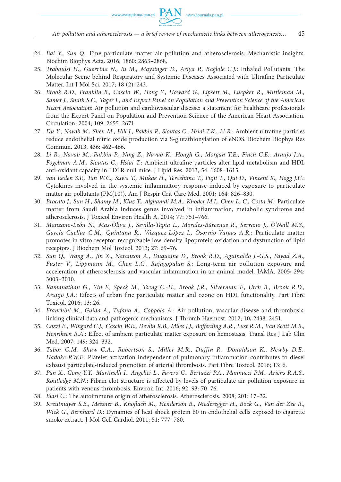- 24. *Bai Y., Sun Q.*: Fine particulate matter air pollution and atherosclerosis: Mechanistic insights. Biochim Biophys Acta. 2016; 1860: 2863–2868.
- 25. *Traboulsi H., Guerrina N., Iu M., Maysinger D., Ariya P., Baglole C.J.*: Inhaled Pollutants: The Molecular Scene behind Respiratory and Systemic Diseases Associated with Ultrafine Particulate Matter. Int J Mol Sci. 2017; 18 (2): 243.
- 26. *Brook R.D., Franklin B., Cascio W., Hong Y., Howard G., Lipsett M., Luepker R., Mittleman M., Samet J., Smith S.C., Tager I., and Expert Panel on Population and Prevention Science of the American Heart Association*: Air pollution and cardiovascular disease: a statement for healthcare professionals from the Expert Panel on Population and Prevention Science of the American Heart Association. Circulation. 2004; 109: 2655–2671.
- 27. *Du Y., Navab M., Shen M., Hill J., Pakbin P., Sioutas C., Hsiai T.K., Li R.*: Ambient ultrafine particles reduce endothelial nitric oxide production via S-glutathionylation of eNOS. Biochem Biophys Res Commun. 2013; 436: 462–466.
- 28. *Li R., Navab M., Pakbin P., Ning Z., Navab K., Hough G., Morgan T.E., Finch C.E., Araujo J.A., Fogelman A.M., Sioutas C., Hsiai T.*: Ambient ultrafine particles alter lipid metabolism and HDL anti-oxidant capacity in LDLR-null mice. J Lipid Res. 2013; 54: 1608–1615.
- 29. *van Eeden S.F., Tan W.C., Suwa T., Mukae H., Terashima T., Fujii T., Qui D., Vincent R., Hogg J.C.*: Cytokines involved in the systemic inflammatory response induced by exposure to particulate matter air pollutants (PM(10)). Am J Respir Crit Care Med. 2001; 164: 826–830.
- 30. *Brocato J., Sun H., Shamy M., Kluz T., Alghamdi M.A., Khoder M.I., Chen L.-C., Costa M.*: Particulate matter from Saudi Arabia induces genes involved in inflammation, metabolic syndrome and atherosclerosis. J Toxicol Environ Health A. 2014; 77: 751–766.
- 31. *Manzano-León N., Mas-Oliva J., Sevilla-Tapia L., Morales-Bárcenas R., Serrano J., O'Neill M.S., García-Cuellar C.M., Quintana R., Vázquez-López I., Osornio-Vargas A.R.*: Particulate matter promotes in vitro receptor-recognizable low-density lipoprotein oxidation and dysfunction of lipid receptors. J Biochem Mol Toxicol. 2013; 27: 69–76.
- 32. *Sun Q., Wang A., Jin X., Natanzon A., Duquaine D., Brook R.D., Aguinaldo J.-G.S., Fayad Z.A., Fuster V., Lippmann M., Chen L.C., Rajagopalan S.*: Long-term air pollution exposure and acceleration of atherosclerosis and vascular inflammation in an animal model. JAMA. 2005; 294: 3003–3010.
- 33. *Ramanathan G., Yin F., Speck M., Tseng C.-H., Brook J.R., Silverman F., Urch B., Brook R.D., Araujo J.A.*: Effects of urban fine particulate matter and ozone on HDL functionality. Part Fibre Toxicol. 2016; 13: 26.
- 34. *Franchini M., Guida A., Tufano A., Coppola A.*: Air pollution, vascular disease and thrombosis: linking clinical data and pathogenic mechanisms. J Thromb Haemost. 2012; 10, 2438–2451.
- 35. *Cozzi E., Wingard C.J., Cascio W.E., Devlin R.B., Miles J.J., Bofferding A.R., Lust R.M., Van Scott M.R., Henriksen R.A.*: Effect of ambient particulate matter exposure on hemostasis. Transl Res J Lab Clin Med. 2007; 149: 324–332.
- 36. *Tabor C.M., Shaw C.A., Robertson S., Miller M.R., Duffin R., Donaldson K., Newby D.E., Hadoke P.W.F.*: Platelet activation independent of pulmonary inflammation contributes to diesel exhaust particulate-induced promotion of arterial thrombosis. Part Fibre Toxicol. 2016; 13: 6.
- 37. *Pan X., Gong Y.Y., Martinelli I., Angelici L., Favero C., Bertazzi P.A., Mannucci P.M., Ariëns R.A.S., Routledge M.N.*: Fibrin clot structure is affected by levels of particulate air pollution exposure in patients with venous thrombosis. Environ Int. 2016; 92–93: 70–76.
- 38. *Blasi C.*: The autoimmune origin of atherosclerosis. Atherosclerosis. 2008; 201: 17–32.
- 39. *Kreutmayer S.B., Messner B., Knoflach M., Henderson B., Niederegger H., Böck G., Van der Zee R., Wick G., Bernhard D.*: Dynamics of heat shock protein 60 in endothelial cells exposed to cigarette smoke extract. J Mol Cell Cardiol. 2011; 51: 777–780.